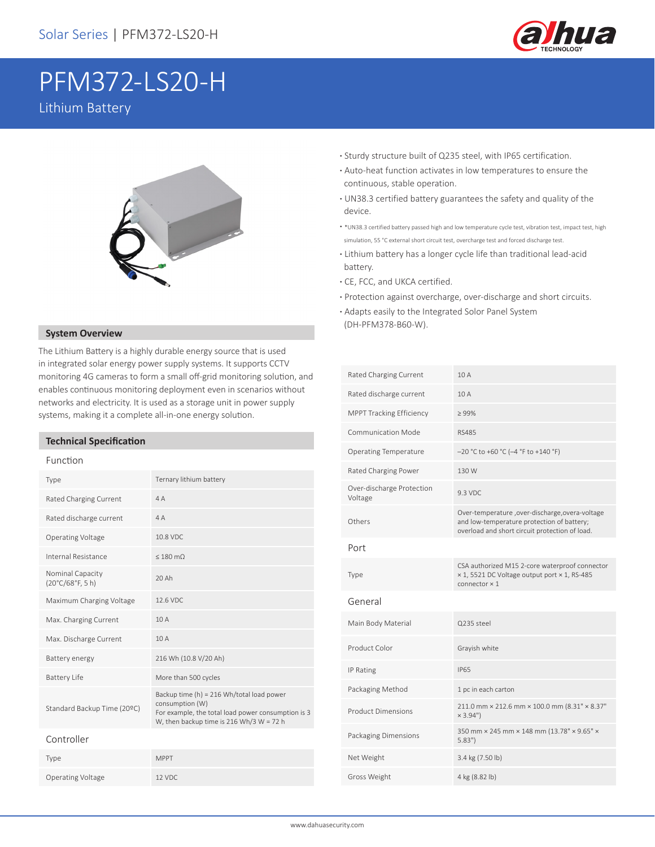

# PFM372-LS20-H Lithium Battery



The Lithium Battery is a highly durable energy source that is used in integrated solar energy power supply systems. It supports CCTV monitoring 4G cameras to form a small off-grid monitoring solution, and enables continuous monitoring deployment even in scenarios without networks and electricity. It is used as a storage unit in power supply systems, making it a complete all-in-one energy solution.

## **Technical Specification**

#### Function

| Type                                                | Ternary lithium battery                                                                                                                                        |
|-----------------------------------------------------|----------------------------------------------------------------------------------------------------------------------------------------------------------------|
| Rated Charging Current                              | 4A                                                                                                                                                             |
| Rated discharge current                             | 4A                                                                                                                                                             |
| Operating Voltage                                   | 10.8 VDC                                                                                                                                                       |
| Internal Resistance                                 | $\leq 180$ m $\Omega$                                                                                                                                          |
| Nominal Capacity<br>$(20^{\circ}C/68^{\circ}F, 5h)$ | 20 Ah                                                                                                                                                          |
| Maximum Charging Voltage                            | 12.6 VDC                                                                                                                                                       |
| Max. Charging Current                               | 10A                                                                                                                                                            |
| Max. Discharge Current                              | 10A                                                                                                                                                            |
| Battery energy                                      | 216 Wh (10.8 V/20 Ah)                                                                                                                                          |
| <b>Battery Life</b>                                 | More than 500 cycles                                                                                                                                           |
| Standard Backup Time (20ºC)                         | Backup time (h) = 216 Wh/total load power<br>consumption (W)<br>For example, the total load power consumption is 3<br>W, then backup time is 216 Wh/3 W = 72 h |
| Controller                                          |                                                                                                                                                                |
| Type                                                | <b>MPPT</b>                                                                                                                                                    |
| Operating Voltage                                   | 12 VDC                                                                                                                                                         |

- **·** Sturdy structure built of Q235 steel, with IP65 certification.
- **·** Auto-heat function activates in low temperatures to ensure the continuous, stable operation.
- **·** UN38.3 certified battery guarantees the safety and quality of the device.
- **·** \*UN38.3 certified battery passed high and low temperature cycle test, vibration test, impact test, high simulation, 55 °C external short circuit test, overcharge test and forced discharge test.
- **·** Lithium battery has a longer cycle life than traditional lead-acid battery.
- **·** CE, FCC, and UKCA certified.
- **·** Protection against overcharge, over-discharge and short circuits.
- **·** Adapts easily to the Integrated Solor Panel System (DH-PFM378-B60-W). **System Overview**

| Rated Charging Current               | 10A                                                                                                                                            |
|--------------------------------------|------------------------------------------------------------------------------------------------------------------------------------------------|
| Rated discharge current              | 10A                                                                                                                                            |
| <b>MPPT Tracking Efficiency</b>      | $\geq 99\%$                                                                                                                                    |
| Communication Mode                   | <b>RS485</b>                                                                                                                                   |
| <b>Operating Temperature</b>         | -20 °C to +60 °C (-4 °F to +140 °F)                                                                                                            |
| Rated Charging Power                 | 130 W                                                                                                                                          |
| Over-discharge Protection<br>Voltage | 9.3 VDC                                                                                                                                        |
| Others                               | Over-temperature ,over-discharge,overa-voltage<br>and low-temperature protection of battery;<br>overload and short circuit protection of load. |
| Port                                 |                                                                                                                                                |
| Type                                 | CSA authorized M15 2-core waterproof connector<br>× 1, 5521 DC Voltage output port × 1, RS-485<br>$connector \times 1$                         |
| General                              |                                                                                                                                                |
| Main Body Material                   | Q235 steel                                                                                                                                     |
| Product Color                        | Grayish white                                                                                                                                  |
| IP Rating                            | <b>IP65</b>                                                                                                                                    |
| Packaging Method                     | 1 pc in each carton                                                                                                                            |
| <b>Product Dimensions</b>            | 211.0 mm × 212.6 mm × 100.0 mm (8.31" × 8.37"<br>$×3.94"$ )                                                                                    |
| Packaging Dimensions                 | 350 mm × 245 mm × 148 mm (13.78" × 9.65" ×<br>5.83"                                                                                            |
| Net Weight                           | 3.4 kg (7.50 lb)                                                                                                                               |
| Gross Weight                         | 4 kg (8.82 lb)                                                                                                                                 |